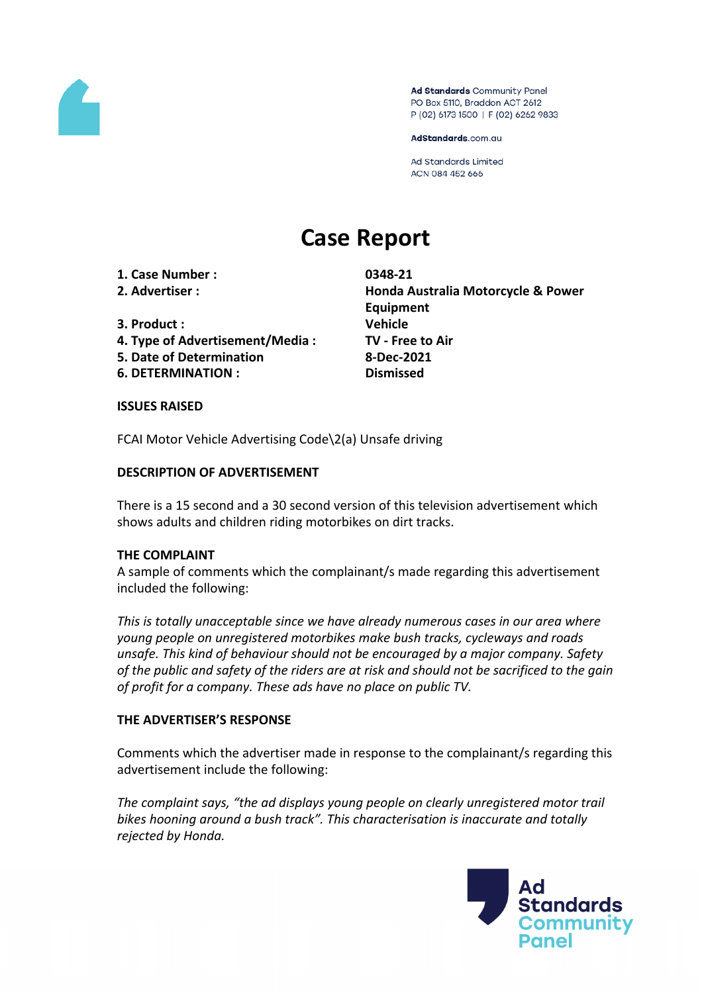

Ad Standards Community Panel PO Box 5110, Braddon ACT 2612 P (02) 6173 1500 | F (02) 6262 9833

AdStandards.com.au

**Ad Standards Limited** ACN 084 452 666

# **Case Report**

**1. Case Number : 0348-21**

**3. Product : Vehicle**

- **4. Type of Advertisement/Media : TV - Free to Air**
- **5. Date of Determination 8-Dec-2021**
- **6. DETERMINATION : Dismissed**

**2. Advertiser : Honda Australia Motorcycle & Power Equipment**

## **ISSUES RAISED**

FCAI Motor Vehicle Advertising Code\2(a) Unsafe driving

## **DESCRIPTION OF ADVERTISEMENT**

There is a 15 second and a 30 second version of this television advertisement which shows adults and children riding motorbikes on dirt tracks.

## **THE COMPLAINT**

A sample of comments which the complainant/s made regarding this advertisement included the following:

*This is totally unacceptable since we have already numerous cases in our area where young people on unregistered motorbikes make bush tracks, cycleways and roads unsafe. This kind of behaviour should not be encouraged by a major company. Safety of the public and safety of the riders are at risk and should not be sacrificed to the gain of profit for a company. These ads have no place on public TV.*

# **THE ADVERTISER'S RESPONSE**

Comments which the advertiser made in response to the complainant/s regarding this advertisement include the following:

*The complaint says, "the ad displays young people on clearly unregistered motor trail bikes hooning around a bush track". This characterisation is inaccurate and totally rejected by Honda.*

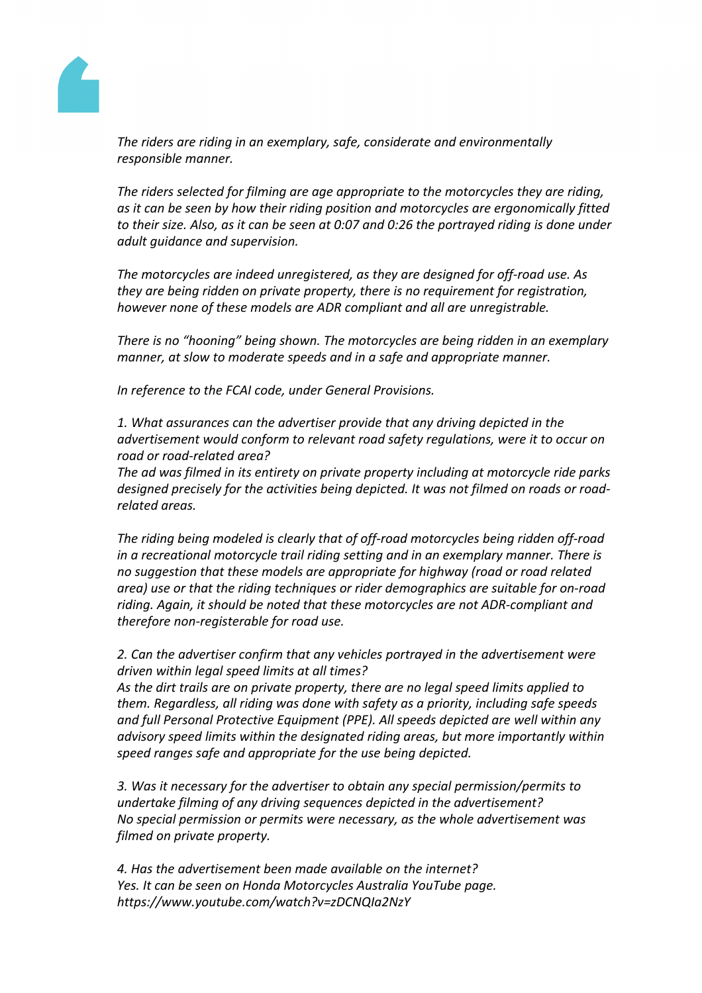

*The riders are riding in an exemplary, safe, considerate and environmentally responsible manner.*

*The riders selected for filming are age appropriate to the motorcycles they are riding, as it can be seen by how their riding position and motorcycles are ergonomically fitted to their size. Also, as it can be seen at 0:07 and 0:26 the portrayed riding is done under adult guidance and supervision.*

*The motorcycles are indeed unregistered, as they are designed for off-road use. As they are being ridden on private property, there is no requirement for registration, however none of these models are ADR compliant and all are unregistrable.*

*There is no "hooning" being shown. The motorcycles are being ridden in an exemplary manner, at slow to moderate speeds and in a safe and appropriate manner.*

*In reference to the FCAI code, under General Provisions.*

*1. What assurances can the advertiser provide that any driving depicted in the advertisement would conform to relevant road safety regulations, were it to occur on road or road-related area?*

*The ad was filmed in its entirety on private property including at motorcycle ride parks designed precisely for the activities being depicted. It was not filmed on roads or roadrelated areas.*

*The riding being modeled is clearly that of off-road motorcycles being ridden off-road in a recreational motorcycle trail riding setting and in an exemplary manner. There is no suggestion that these models are appropriate for highway (road or road related area) use or that the riding techniques or rider demographics are suitable for on-road riding. Again, it should be noted that these motorcycles are not ADR-compliant and therefore non-registerable for road use.*

*2. Can the advertiser confirm that any vehicles portrayed in the advertisement were driven within legal speed limits at all times?*

*As the dirt trails are on private property, there are no legal speed limits applied to them. Regardless, all riding was done with safety as a priority, including safe speeds and full Personal Protective Equipment (PPE). All speeds depicted are well within any advisory speed limits within the designated riding areas, but more importantly within speed ranges safe and appropriate for the use being depicted.*

*3. Was it necessary for the advertiser to obtain any special permission/permits to undertake filming of any driving sequences depicted in the advertisement? No special permission or permits were necessary, as the whole advertisement was filmed on private property.*

*4. Has the advertisement been made available on the internet? Yes. It can be seen on Honda Motorcycles Australia YouTube page. https://www.youtube.com/watch?v=zDCNQIa2NzY*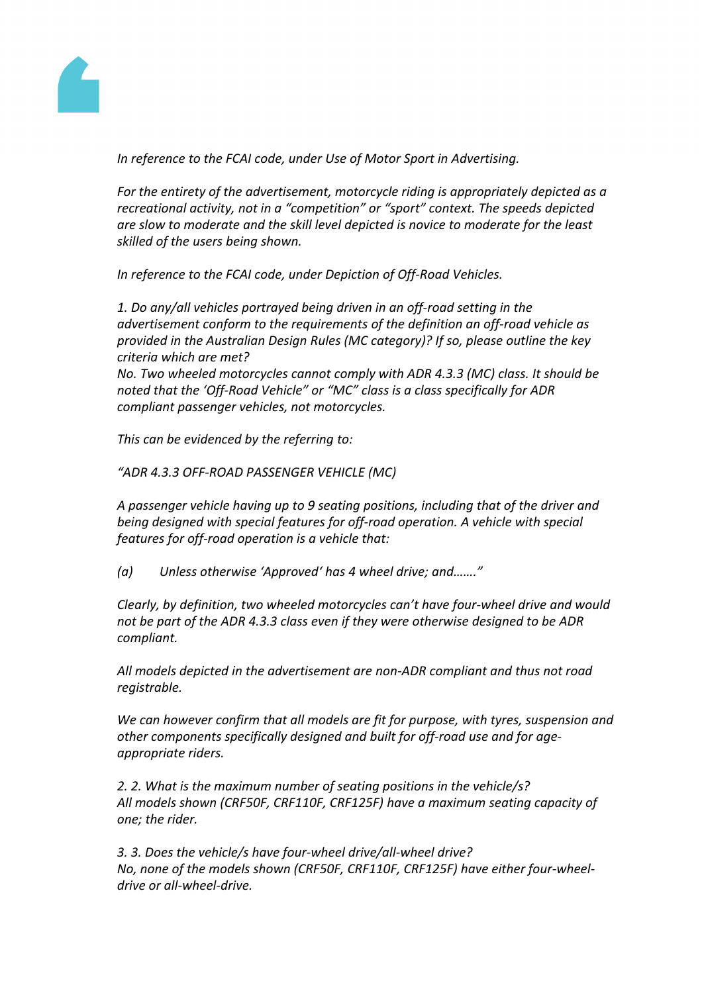

*In reference to the FCAI code, under Use of Motor Sport in Advertising.*

*For the entirety of the advertisement, motorcycle riding is appropriately depicted as a recreational activity, not in a "competition" or "sport" context. The speeds depicted are slow to moderate and the skill level depicted is novice to moderate for the least skilled of the users being shown.*

*In reference to the FCAI code, under Depiction of Off-Road Vehicles.*

*1. Do any/all vehicles portrayed being driven in an off-road setting in the advertisement conform to the requirements of the definition an off-road vehicle as provided in the Australian Design Rules (MC category)? If so, please outline the key criteria which are met?*

*No. Two wheeled motorcycles cannot comply with ADR 4.3.3 (MC) class. It should be noted that the 'Off-Road Vehicle" or "MC" class is a class specifically for ADR compliant passenger vehicles, not motorcycles.*

*This can be evidenced by the referring to:*

*"ADR 4.3.3 OFF-ROAD PASSENGER VEHICLE (MC)*

*A passenger vehicle having up to 9 seating positions, including that of the driver and being designed with special features for off-road operation. A vehicle with special features for off-road operation is a vehicle that:*

*(a) Unless otherwise 'Approved' has 4 wheel drive; and……."*

*Clearly, by definition, two wheeled motorcycles can't have four-wheel drive and would not be part of the ADR 4.3.3 class even if they were otherwise designed to be ADR compliant.*

*All models depicted in the advertisement are non-ADR compliant and thus not road registrable.*

*We can however confirm that all models are fit for purpose, with tyres, suspension and other components specifically designed and built for off-road use and for ageappropriate riders.*

*2. 2. What is the maximum number of seating positions in the vehicle/s? All models shown (CRF50F, CRF110F, CRF125F) have a maximum seating capacity of one; the rider.*

*3. 3. Does the vehicle/s have four-wheel drive/all-wheel drive? No, none of the models shown (CRF50F, CRF110F, CRF125F) have either four-wheeldrive or all-wheel-drive.*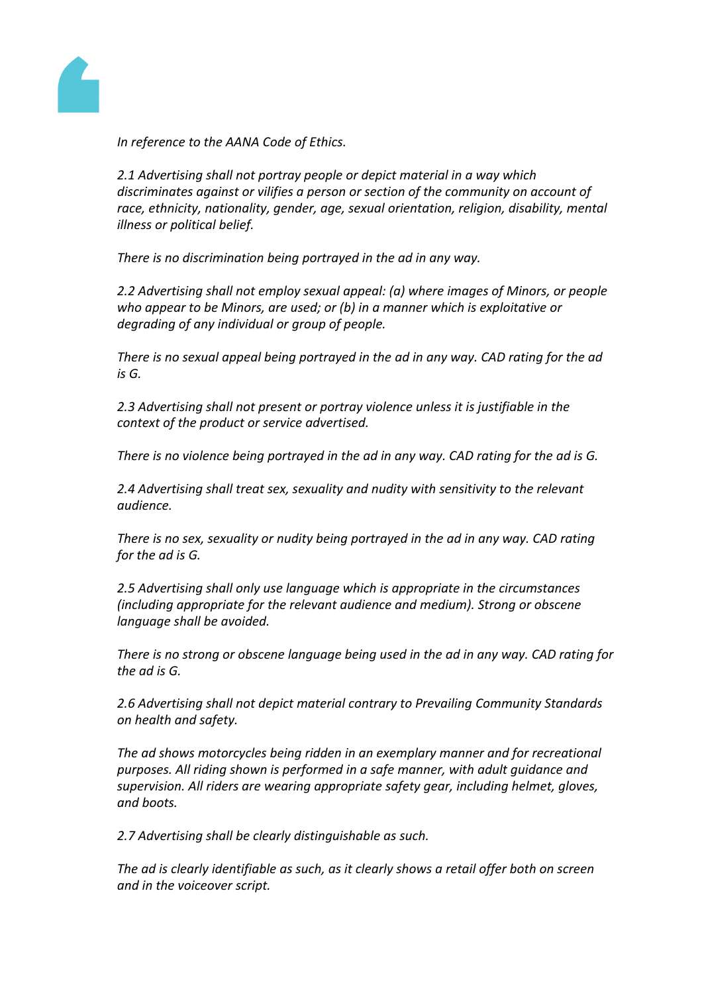

*In reference to the AANA Code of Ethics.*

*2.1 Advertising shall not portray people or depict material in a way which discriminates against or vilifies a person or section of the community on account of race, ethnicity, nationality, gender, age, sexual orientation, religion, disability, mental illness or political belief.*

*There is no discrimination being portrayed in the ad in any way.*

*2.2 Advertising shall not employ sexual appeal: (a) where images of Minors, or people who appear to be Minors, are used; or (b) in a manner which is exploitative or degrading of any individual or group of people.*

*There is no sexual appeal being portrayed in the ad in any way. CAD rating for the ad is G.*

*2.3 Advertising shall not present or portray violence unless it is justifiable in the context of the product or service advertised.*

*There is no violence being portrayed in the ad in any way. CAD rating for the ad is G.*

*2.4 Advertising shall treat sex, sexuality and nudity with sensitivity to the relevant audience.*

*There is no sex, sexuality or nudity being portrayed in the ad in any way. CAD rating for the ad is G.*

*2.5 Advertising shall only use language which is appropriate in the circumstances (including appropriate for the relevant audience and medium). Strong or obscene language shall be avoided.*

*There is no strong or obscene language being used in the ad in any way. CAD rating for the ad is G.*

*2.6 Advertising shall not depict material contrary to Prevailing Community Standards on health and safety.*

*The ad shows motorcycles being ridden in an exemplary manner and for recreational purposes. All riding shown is performed in a safe manner, with adult guidance and supervision. All riders are wearing appropriate safety gear, including helmet, gloves, and boots.*

*2.7 Advertising shall be clearly distinguishable as such.*

*The ad is clearly identifiable as such, as it clearly shows a retail offer both on screen and in the voiceover script.*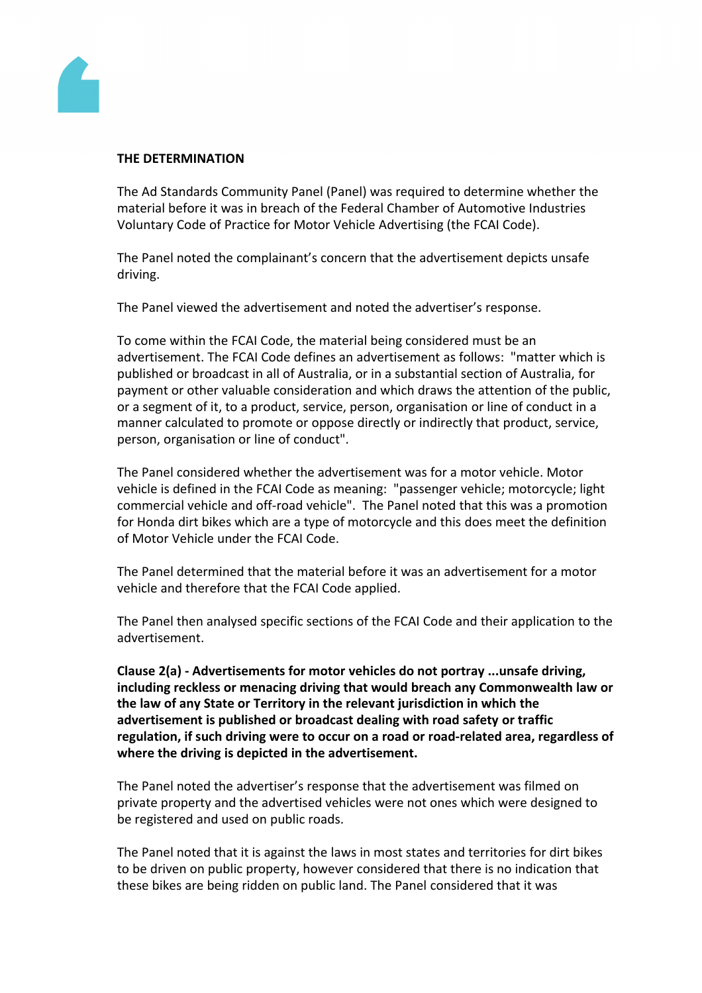

## **THE DETERMINATION**

The Ad Standards Community Panel (Panel) was required to determine whether the material before it was in breach of the Federal Chamber of Automotive Industries Voluntary Code of Practice for Motor Vehicle Advertising (the FCAI Code).

The Panel noted the complainant's concern that the advertisement depicts unsafe driving.

The Panel viewed the advertisement and noted the advertiser's response.

To come within the FCAI Code, the material being considered must be an advertisement. The FCAI Code defines an advertisement as follows: "matter which is published or broadcast in all of Australia, or in a substantial section of Australia, for payment or other valuable consideration and which draws the attention of the public, or a segment of it, to a product, service, person, organisation or line of conduct in a manner calculated to promote or oppose directly or indirectly that product, service, person, organisation or line of conduct".

The Panel considered whether the advertisement was for a motor vehicle. Motor vehicle is defined in the FCAI Code as meaning: "passenger vehicle; motorcycle; light commercial vehicle and off-road vehicle". The Panel noted that this was a promotion for Honda dirt bikes which are a type of motorcycle and this does meet the definition of Motor Vehicle under the FCAI Code.

The Panel determined that the material before it was an advertisement for a motor vehicle and therefore that the FCAI Code applied.

The Panel then analysed specific sections of the FCAI Code and their application to the advertisement.

**Clause 2(a) - Advertisements for motor vehicles do not portray ...unsafe driving, including reckless or menacing driving that would breach any Commonwealth law or the law of any State or Territory in the relevant jurisdiction in which the advertisement is published or broadcast dealing with road safety or traffic regulation, if such driving were to occur on a road or road-related area, regardless of where the driving is depicted in the advertisement.**

The Panel noted the advertiser's response that the advertisement was filmed on private property and the advertised vehicles were not ones which were designed to be registered and used on public roads.

The Panel noted that it is against the laws in most states and territories for dirt bikes to be driven on public property, however considered that there is no indication that these bikes are being ridden on public land. The Panel considered that it was